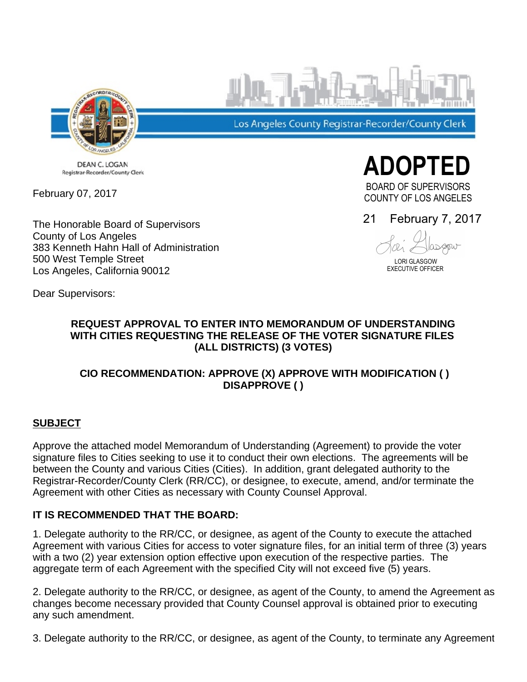

DEAN C. LOGAN Registrar-Recorder/County Clerk

February 07, 2017

The Honorable Board of Supervisors County of Los Angeles 383 Kenneth Hahn Hall of Administration 500 West Temple Street Los Angeles, California 90012

Los Angeles County Registrar-Recorder/County Clerk

**ADOPTED**  BOARD OF SUPERVISORS COUNTY OF LOS ANGELES

21 February 7, 2017

LORI GLASGOW

EXECUTIVE OFFICER

Dear Supervisors:

## **REQUEST APPROVAL TO ENTER INTO MEMORANDUM OF UNDERSTANDING WITH CITIES REQUESTING THE RELEASE OF THE VOTER SIGNATURE FILES (ALL DISTRICTS) (3 VOTES)**

# **CIO RECOMMENDATION: APPROVE (X) APPROVE WITH MODIFICATION ( ) DISAPPROVE ( )**

#### **SUBJECT**

Approve the attached model Memorandum of Understanding (Agreement) to provide the voter signature files to Cities seeking to use it to conduct their own elections. The agreements will be between the County and various Cities (Cities). In addition, grant delegated authority to the Registrar-Recorder/County Clerk (RR/CC), or designee, to execute, amend, and/or terminate the Agreement with other Cities as necessary with County Counsel Approval.

# **IT IS RECOMMENDED THAT THE BOARD:**

1. Delegate authority to the RR/CC, or designee, as agent of the County to execute the attached Agreement with various Cities for access to voter signature files, for an initial term of three (3) years with a two (2) year extension option effective upon execution of the respective parties. The aggregate term of each Agreement with the specified City will not exceed five (5) years.

2. Delegate authority to the RR/CC, or designee, as agent of the County, to amend the Agreement as changes become necessary provided that County Counsel approval is obtained prior to executing any such amendment.

3. Delegate authority to the RR/CC, or designee, as agent of the County, to terminate any Agreement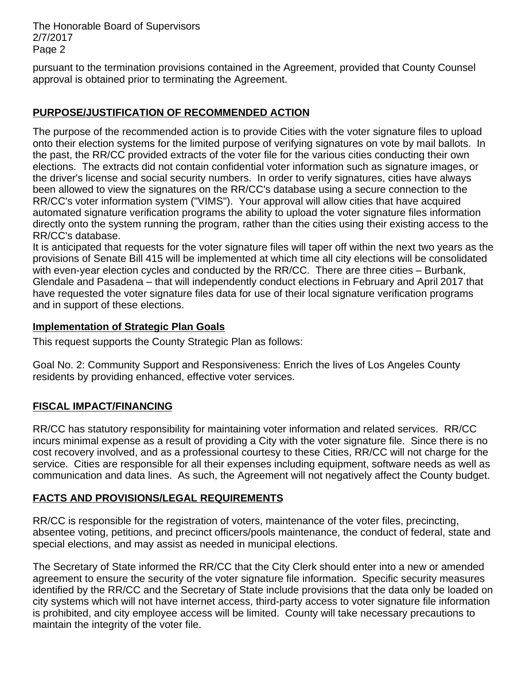The Honorable Board of Supervisors 2/7/2017 Page 2

pursuant to the termination provisions contained in the Agreement, provided that County Counsel approval is obtained prior to terminating the Agreement.

# **PURPOSE/JUSTIFICATION OF RECOMMENDED ACTION**

The purpose of the recommended action is to provide Cities with the voter signature files to upload onto their election systems for the limited purpose of verifying signatures on vote by mail ballots. In the past, the RR/CC provided extracts of the voter file for the various cities conducting their own elections. The extracts did not contain confidential voter information such as signature images, or the driver's license and social security numbers. In order to verify signatures, cities have always been allowed to view the signatures on the RR/CC's database using a secure connection to the RR/CC's voter information system ("VIMS"). Your approval will allow cities that have acquired automated signature verification programs the ability to upload the voter signature files information directly onto the system running the program, rather than the cities using their existing access to the RR/CC's database.

It is anticipated that requests for the voter signature files will taper off within the next two years as the provisions of Senate Bill 415 will be implemented at which time all city elections will be consolidated with even-year election cycles and conducted by the  $RR/CC$ . There are three cities  $-$  Burbank, Glendale and Pasadena – that will independently conduct elections in February and April 2017 that have requested the voter signature files data for use of their local signature verification programs and in support of these elections.

## **Implementation of Strategic Plan Goals**

This request supports the County Strategic Plan as follows:

Goal No. 2: Community Support and Responsiveness: Enrich the lives of Los Angeles County residents by providing enhanced, effective voter services.

# **FISCAL IMPACT/FINANCING**

RR/CC has statutory responsibility for maintaining voter information and related services. RR/CC incurs minimal expense as a result of providing a City with the voter signature file. Since there is no cost recovery involved, and as a professional courtesy to these Cities, RR/CC will not charge for the service. Cities are responsible for all their expenses including equipment, software needs as well as communication and data lines. As such, the Agreement will not negatively affect the County budget.

# **FACTS AND PROVISIONS/LEGAL REQUIREMENTS**

RR/CC is responsible for the registration of voters, maintenance of the voter files, precincting, absentee voting, petitions, and precinct officers/pools maintenance, the conduct of federal, state and special elections, and may assist as needed in municipal elections.

The Secretary of State informed the RR/CC that the City Clerk should enter into a new or amended agreement to ensure the security of the voter signature file information. Specific security measures identified by the RR/CC and the Secretary of State include provisions that the data only be loaded on city systems which will not have internet access, third-party access to voter signature file information is prohibited, and city employee access will be limited. County will take necessary precautions to maintain the integrity of the voter file.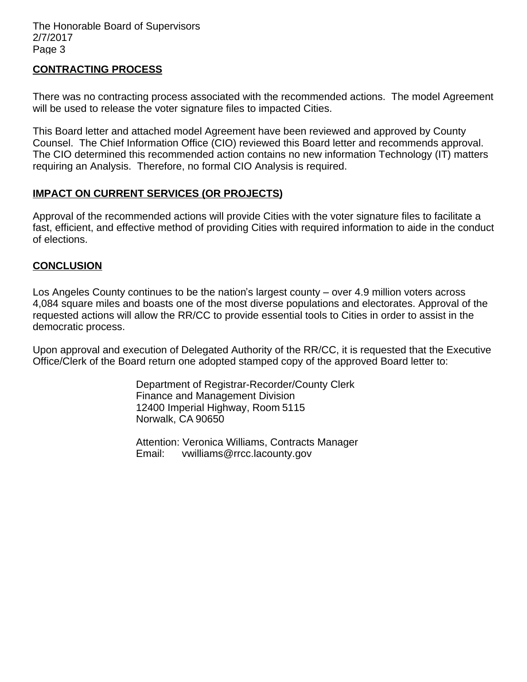#### **CONTRACTING PROCESS**

There was no contracting process associated with the recommended actions. The model Agreement will be used to release the voter signature files to impacted Cities.

This Board letter and attached model Agreement have been reviewed and approved by County Counsel. The Chief Information Office (CIO) reviewed this Board letter and recommends approval. The CIO determined this recommended action contains no new information Technology (IT) matters requiring an Analysis. Therefore, no formal CIO Analysis is required.

## **IMPACT ON CURRENT SERVICES (OR PROJECTS)**

Approval of the recommended actions will provide Cities with the voter signature files to facilitate a fast, efficient, and effective method of providing Cities with required information to aide in the conduct of elections.

#### **CONCLUSION**

Los Angeles County continues to be the nation's largest county – over 4.9 million voters across 4,084 square miles and boasts one of the most diverse populations and electorates. Approval of the requested actions will allow the RR/CC to provide essential tools to Cities in order to assist in the democratic process.

Upon approval and execution of Delegated Authority of the RR/CC, it is requested that the Executive Office/Clerk of the Board return one adopted stamped copy of the approved Board letter to:

> Department of Registrar-Recorder/County Clerk Finance and Management Division 12400 Imperial Highway, Room 5115 Norwalk, CA 90650

> Attention: Veronica Williams, Contracts Manager Email: vwilliams@rrcc.lacounty.gov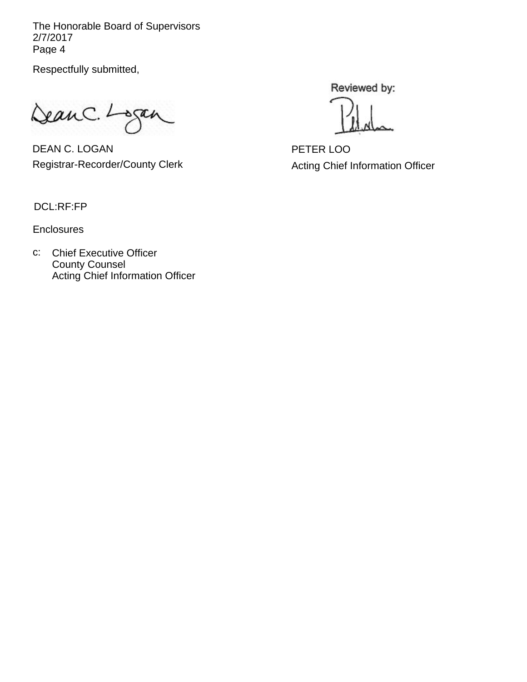The Honorable Board of Supervisors 2/7/2017 Page 4

Respectfully submitted,

Jean C. Logan

DEAN C. LOGAN Registrar-Recorder/County Clerk

Reviewed by:

PETER LOO Acting Chief Information Officer

DCL:RF:FP

**Enclosures** 

c: Chief Executive Officer County Counsel Acting Chief Information Officer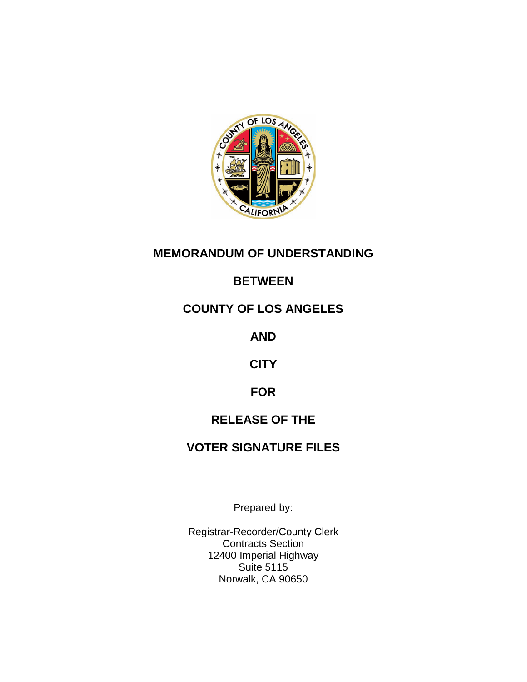

# **MEMORANDUM OF UNDERSTANDING**

# **BETWEEN**

# **COUNTY OF LOS ANGELES**

**AND**

**CITY**

# **FOR**

# **RELEASE OF THE**

# **VOTER SIGNATURE FILES**

Prepared by:

Registrar-Recorder/County Clerk Contracts Section 12400 Imperial Highway Suite 5115 Norwalk, CA 90650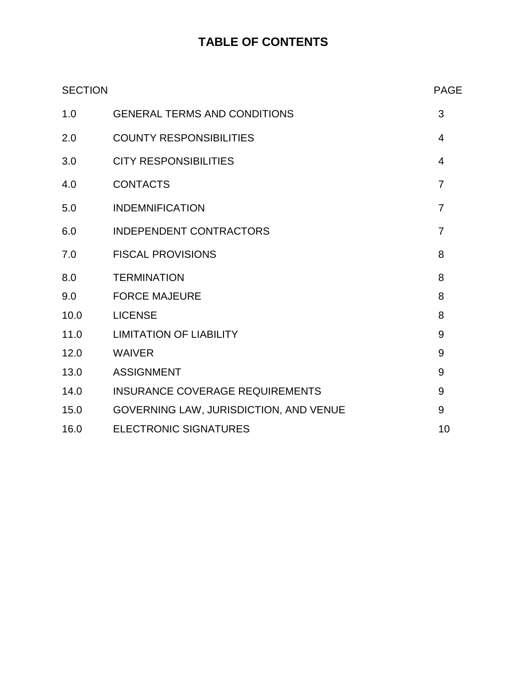# **TABLE OF CONTENTS**

| <b>SECTION</b> | <b>PAGE</b>                            |                |
|----------------|----------------------------------------|----------------|
| 1.0            | <b>GENERAL TERMS AND CONDITIONS</b>    | 3              |
| 2.0            | <b>COUNTY RESPONSIBILITIES</b>         | 4              |
| 3.0            | <b>CITY RESPONSIBILITIES</b>           | 4              |
| 4.0            | <b>CONTACTS</b>                        | $\overline{7}$ |
| 5.0            | <b>INDEMNIFICATION</b>                 | $\overline{7}$ |
| 6.0            | <b>INDEPENDENT CONTRACTORS</b>         | $\overline{7}$ |
| 7.0            | <b>FISCAL PROVISIONS</b>               | 8              |
| 8.0            | <b>TERMINATION</b>                     | 8              |
| 9.0            | <b>FORCE MAJEURE</b>                   | 8              |
| 10.0           | <b>LICENSE</b>                         | 8              |
| 11.0           | <b>LIMITATION OF LIABILITY</b>         | 9              |
| 12.0           | <b>WAIVER</b>                          | 9              |
| 13.0           | <b>ASSIGNMENT</b>                      | 9              |
| 14.0           | <b>INSURANCE COVERAGE REQUIREMENTS</b> | 9              |
| 15.0           | GOVERNING LAW, JURISDICTION, AND VENUE | 9              |
| 16.0           | <b>ELECTRONIC SIGNATURES</b>           | 10             |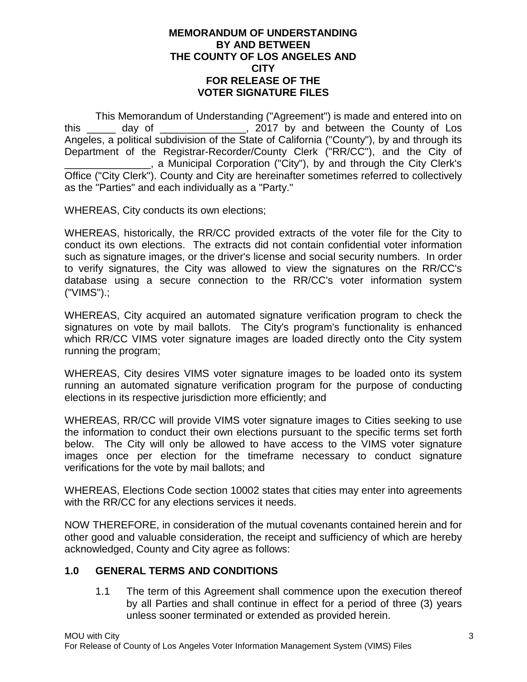#### **MEMORANDUM OF UNDERSTANDING BY AND BETWEEN THE COUNTY OF LOS ANGELES AND CITY FOR RELEASE OF THE VOTER SIGNATURE FILES**

This Memorandum of Understanding ("Agreement") is made and entered into on this day of this day of the County of Los Angeles, a political subdivision of the State of California ("County"), by and through its Department of the Registrar-Recorder/County Clerk ("RR/CC"), and the City of \_\_\_\_\_\_\_\_\_\_\_\_\_\_\_, a Municipal Corporation ("City"), by and through the City Clerk's Office ("City Clerk"). County and City are hereinafter sometimes referred to collectively as the "Parties" and each individually as a "Party."

WHEREAS, City conducts its own elections;

WHEREAS, historically, the RR/CC provided extracts of the voter file for the City to conduct its own elections. The extracts did not contain confidential voter information such as signature images, or the driver's license and social security numbers. In order to verify signatures, the City was allowed to view the signatures on the RR/CC's database using a secure connection to the RR/CC's voter information system ("VIMS").;

WHEREAS, City acquired an automated signature verification program to check the signatures on vote by mail ballots. The City's program's functionality is enhanced which RR/CC VIMS voter signature images are loaded directly onto the City system running the program;

WHEREAS, City desires VIMS voter signature images to be loaded onto its system running an automated signature verification program for the purpose of conducting elections in its respective jurisdiction more efficiently; and

WHEREAS, RR/CC will provide VIMS voter signature images to Cities seeking to use the information to conduct their own elections pursuant to the specific terms set forth below. The City will only be allowed to have access to the VIMS voter signature images once per election for the timeframe necessary to conduct signature verifications for the vote by mail ballots; and

WHEREAS, Elections Code section 10002 states that cities may enter into agreements with the RR/CC for any elections services it needs.

NOW THEREFORE, in consideration of the mutual covenants contained herein and for other good and valuable consideration, the receipt and sufficiency of which are hereby acknowledged, County and City agree as follows:

#### **1.0 GENERAL TERMS AND CONDITIONS**

1.1 The term of this Agreement shall commence upon the execution thereof by all Parties and shall continue in effect for a period of three (3) years unless sooner terminated or extended as provided herein.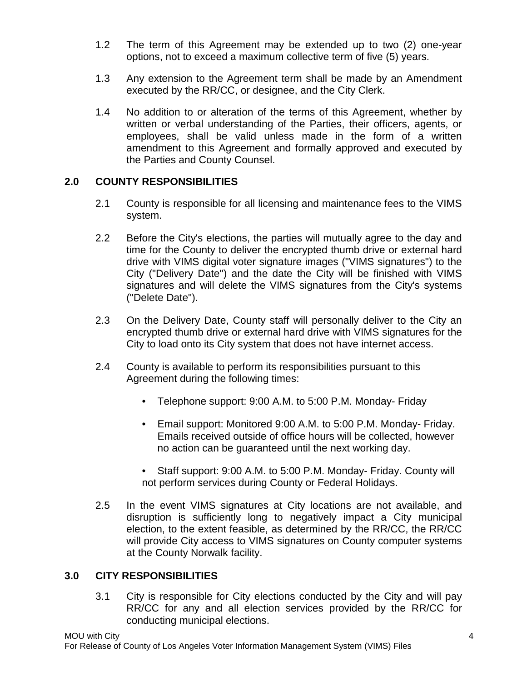- 1.2 The term of this Agreement may be extended up to two (2) one-year options, not to exceed a maximum collective term of five (5) years.
- 1.3 Any extension to the Agreement term shall be made by an Amendment executed by the RR/CC, or designee, and the City Clerk.
- 1.4 No addition to or alteration of the terms of this Agreement, whether by written or verbal understanding of the Parties, their officers, agents, or employees, shall be valid unless made in the form of a written amendment to this Agreement and formally approved and executed by the Parties and County Counsel.

# **2.0 COUNTY RESPONSIBILITIES**

- 2.1 County is responsible for all licensing and maintenance fees to the VIMS system.
- 2.2 Before the City's elections, the parties will mutually agree to the day and time for the County to deliver the encrypted thumb drive or external hard drive with VIMS digital voter signature images ("VIMS signatures") to the City ("Delivery Date") and the date the City will be finished with VIMS signatures and will delete the VIMS signatures from the City's systems ("Delete Date").
- 2.3 On the Delivery Date, County staff will personally deliver to the City an encrypted thumb drive or external hard drive with VIMS signatures for the City to load onto its City system that does not have internet access.
- 2.4 County is available to perform its responsibilities pursuant to this Agreement during the following times:
	- Telephone support: 9:00 A.M. to 5:00 P.M. Monday- Friday
	- Email support: Monitored 9:00 A.M. to 5:00 P.M. Monday- Friday. Emails received outside of office hours will be collected, however no action can be guaranteed until the next working day.
	- Staff support: 9:00 A.M. to 5:00 P.M. Monday- Friday. County will not perform services during County or Federal Holidays.
- 2.5 In the event VIMS signatures at City locations are not available, and disruption is sufficiently long to negatively impact a City municipal election, to the extent feasible, as determined by the RR/CC, the RR/CC will provide City access to VIMS signatures on County computer systems at the County Norwalk facility.

# **3.0 CITY RESPONSIBILITIES**

3.1 City is responsible for City elections conducted by the City and will pay RR/CC for any and all election services provided by the RR/CC for conducting municipal elections.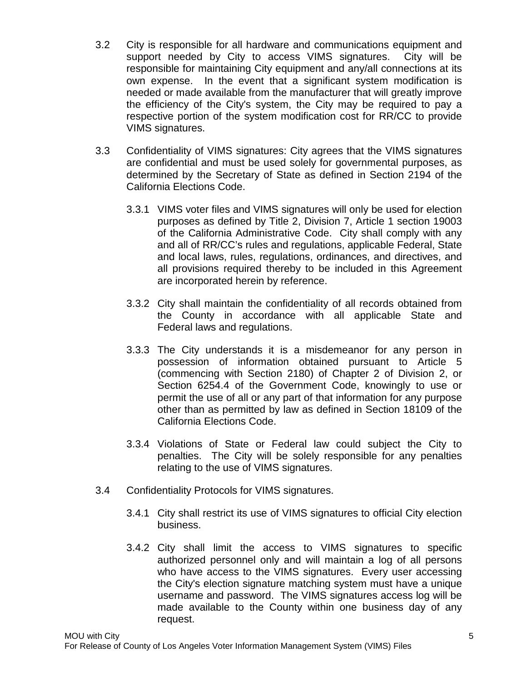- 3.2 City is responsible for all hardware and communications equipment and support needed by City to access VIMS signatures. City will be responsible for maintaining City equipment and any/all connections at its own expense. In the event that a significant system modification is needed or made available from the manufacturer that will greatly improve the efficiency of the City's system, the City may be required to pay a respective portion of the system modification cost for RR/CC to provide VIMS signatures.
- 3.3 Confidentiality of VIMS signatures: City agrees that the VIMS signatures are confidential and must be used solely for governmental purposes, as determined by the Secretary of State as defined in Section 2194 of the California Elections Code.
	- 3.3.1 VIMS voter files and VIMS signatures will only be used for election purposes as defined by Title 2, Division 7, Article 1 section 19003 of the California Administrative Code. City shall comply with any and all of RR/CC's rules and regulations, applicable Federal, State and local laws, rules, regulations, ordinances, and directives, and all provisions required thereby to be included in this Agreement are incorporated herein by reference.
	- 3.3.2 City shall maintain the confidentiality of all records obtained from the County in accordance with all applicable State and Federal laws and regulations.
	- 3.3.3 The City understands it is a misdemeanor for any person in possession of information obtained pursuant to Article 5 (commencing with Section 2180) of Chapter 2 of Division 2, or Section 6254.4 of the Government Code, knowingly to use or permit the use of all or any part of that information for any purpose other than as permitted by law as defined in Section 18109 of the California Elections Code.
	- 3.3.4 Violations of State or Federal law could subject the City to penalties. The City will be solely responsible for any penalties relating to the use of VIMS signatures.
- 3.4 Confidentiality Protocols for VIMS signatures.
	- 3.4.1 City shall restrict its use of VIMS signatures to official City election business.
	- 3.4.2 City shall limit the access to VIMS signatures to specific authorized personnel only and will maintain a log of all persons who have access to the VIMS signatures. Every user accessing the City's election signature matching system must have a unique username and password. The VIMS signatures access log will be made available to the County within one business day of any request.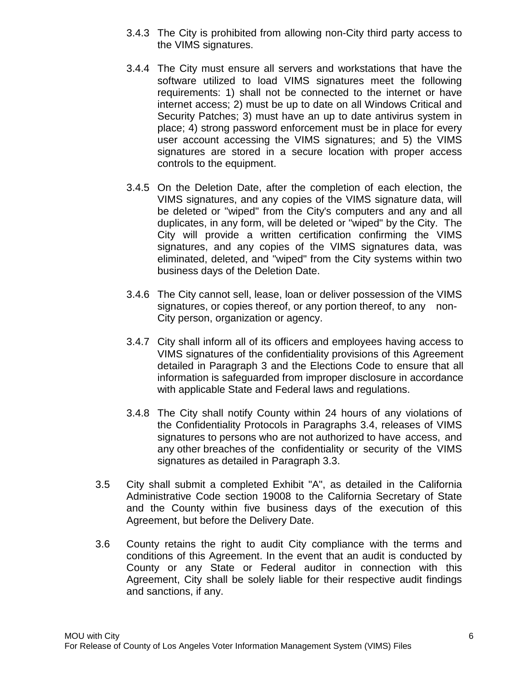- 3.4.3 The City is prohibited from allowing non-City third party access to the VIMS signatures.
- 3.4.4 The City must ensure all servers and workstations that have the software utilized to load VIMS signatures meet the following requirements: 1) shall not be connected to the internet or have internet access; 2) must be up to date on all Windows Critical and Security Patches; 3) must have an up to date antivirus system in place; 4) strong password enforcement must be in place for every user account accessing the VIMS signatures; and 5) the VIMS signatures are stored in a secure location with proper access controls to the equipment.
- 3.4.5 On the Deletion Date, after the completion of each election, the VIMS signatures, and any copies of the VIMS signature data, will be deleted or "wiped" from the City's computers and any and all duplicates, in any form, will be deleted or "wiped" by the City. The City will provide a written certification confirming the VIMS signatures, and any copies of the VIMS signatures data, was eliminated, deleted, and "wiped" from the City systems within two business days of the Deletion Date.
- 3.4.6 The City cannot sell, lease, loan or deliver possession of the VIMS signatures, or copies thereof, or any portion thereof, to any non-City person, organization or agency.
- 3.4.7 City shall inform all of its officers and employees having access to VIMS signatures of the confidentiality provisions of this Agreement detailed in Paragraph 3 and the Elections Code to ensure that all information is safeguarded from improper disclosure in accordance with applicable State and Federal laws and regulations.
- 3.4.8 The City shall notify County within 24 hours of any violations of the Confidentiality Protocols in Paragraphs 3.4, releases of VIMS signatures to persons who are not authorized to have access, and any other breaches of the confidentiality or security of the VIMS signatures as detailed in Paragraph 3.3.
- 3.5 City shall submit a completed Exhibit "A", as detailed in the California Administrative Code section 19008 to the California Secretary of State and the County within five business days of the execution of this Agreement, but before the Delivery Date.
- 3.6 County retains the right to audit City compliance with the terms and conditions of this Agreement. In the event that an audit is conducted by County or any State or Federal auditor in connection with this Agreement, City shall be solely liable for their respective audit findings and sanctions, if any.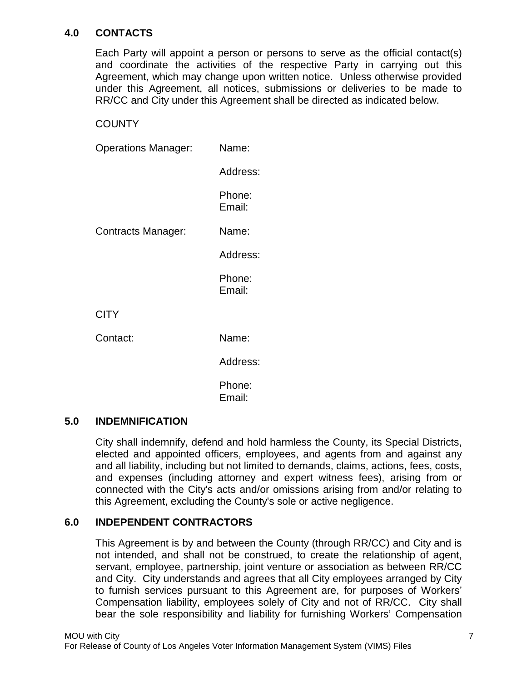# **4.0 CONTACTS**

Each Party will appoint a person or persons to serve as the official contact(s) and coordinate the activities of the respective Party in carrying out this Agreement, which may change upon written notice. Unless otherwise provided under this Agreement, all notices, submissions or deliveries to be made to RR/CC and City under this Agreement shall be directed as indicated below.

### **COUNTY**

| <b>Operations Manager:</b> | Name:            |  |
|----------------------------|------------------|--|
|                            | Address:         |  |
|                            | Phone:<br>Email: |  |
| Contracts Manager:         | Name:            |  |
|                            | Address:         |  |
|                            | Phone:<br>Email: |  |
| <b>CITY</b>                |                  |  |
| Contact:                   | Name:            |  |
|                            | Address:         |  |
|                            | Phone:<br>Email: |  |

#### **5.0 INDEMNIFICATION**

City shall indemnify, defend and hold harmless the County, its Special Districts, elected and appointed officers, employees, and agents from and against any and all liability, including but not limited to demands, claims, actions, fees, costs, and expenses (including attorney and expert witness fees), arising from or connected with the City's acts and/or omissions arising from and/or relating to this Agreement, excluding the County's sole or active negligence.

# **6.0 INDEPENDENT CONTRACTORS**

This Agreement is by and between the County (through RR/CC) and City and is not intended, and shall not be construed, to create the relationship of agent, servant, employee, partnership, joint venture or association as between RR/CC and City. City understands and agrees that all City employees arranged by City to furnish services pursuant to this Agreement are, for purposes of Workers' Compensation liability, employees solely of City and not of RR/CC. City shall bear the sole responsibility and liability for furnishing Workers' Compensation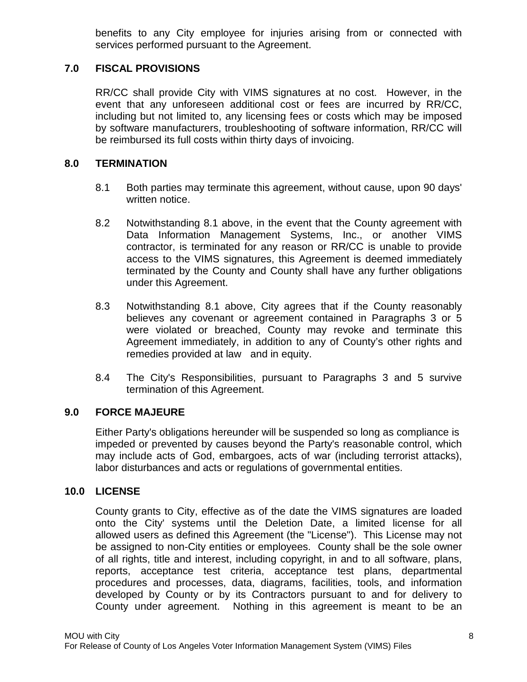benefits to any City employee for injuries arising from or connected with services performed pursuant to the Agreement.

### **7.0 FISCAL PROVISIONS**

RR/CC shall provide City with VIMS signatures at no cost. However, in the event that any unforeseen additional cost or fees are incurred by RR/CC, including but not limited to, any licensing fees or costs which may be imposed by software manufacturers, troubleshooting of software information, RR/CC will be reimbursed its full costs within thirty days of invoicing.

#### **8.0 TERMINATION**

- 8.1 Both parties may terminate this agreement, without cause, upon 90 days' written notice.
- 8.2 Notwithstanding 8.1 above, in the event that the County agreement with Data Information Management Systems, Inc., or another VIMS contractor, is terminated for any reason or RR/CC is unable to provide access to the VIMS signatures, this Agreement is deemed immediately terminated by the County and County shall have any further obligations under this Agreement.
- 8.3 Notwithstanding 8.1 above, City agrees that if the County reasonably believes any covenant or agreement contained in Paragraphs 3 or 5 were violated or breached, County may revoke and terminate this Agreement immediately, in addition to any of County's other rights and remedies provided at law and in equity.
- 8.4 The City's Responsibilities, pursuant to Paragraphs 3 and 5 survive termination of this Agreement.

#### **9.0 FORCE MAJEURE**

Either Party's obligations hereunder will be suspended so long as compliance is impeded or prevented by causes beyond the Party's reasonable control, which may include acts of God, embargoes, acts of war (including terrorist attacks), labor disturbances and acts or regulations of governmental entities.

#### **10.0 LICENSE**

County grants to City, effective as of the date the VIMS signatures are loaded onto the City' systems until the Deletion Date, a limited license for all allowed users as defined this Agreement (the "License"). This License may not be assigned to non-City entities or employees. County shall be the sole owner of all rights, title and interest, including copyright, in and to all software, plans, reports, acceptance test criteria, acceptance test plans, departmental procedures and processes, data, diagrams, facilities, tools, and information developed by County or by its Contractors pursuant to and for delivery to County under agreement. Nothing in this agreement is meant to be an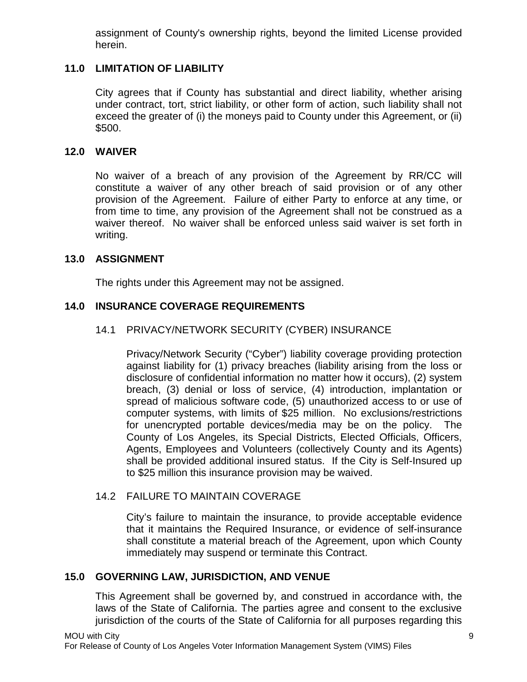assignment of County's ownership rights, beyond the limited License provided herein.

## **11.0 LIMITATION OF LIABILITY**

City agrees that if County has substantial and direct liability, whether arising under contract, tort, strict liability, or other form of action, such liability shall not exceed the greater of (i) the moneys paid to County under this Agreement, or (ii) \$500.

#### **12.0 WAIVER**

No waiver of a breach of any provision of the Agreement by RR/CC will constitute a waiver of any other breach of said provision or of any other provision of the Agreement. Failure of either Party to enforce at any time, or from time to time, any provision of the Agreement shall not be construed as a waiver thereof. No waiver shall be enforced unless said waiver is set forth in writing.

#### **13.0 ASSIGNMENT**

The rights under this Agreement may not be assigned.

# **14.0 INSURANCE COVERAGE REQUIREMENTS**

# 14.1 PRIVACY/NETWORK SECURITY (CYBER) INSURANCE

Privacy/Network Security ("Cyber") liability coverage providing protection against liability for (1) privacy breaches (liability arising from the loss or disclosure of confidential information no matter how it occurs), (2) system breach, (3) denial or loss of service, (4) introduction, implantation or spread of malicious software code, (5) unauthorized access to or use of computer systems, with limits of \$25 million. No exclusions/restrictions for unencrypted portable devices/media may be on the policy. The County of Los Angeles, its Special Districts, Elected Officials, Officers, Agents, Employees and Volunteers (collectively County and its Agents) shall be provided additional insured status. If the City is Self-Insured up to \$25 million this insurance provision may be waived.

# 14.2 FAILURE TO MAINTAIN COVERAGE

City's failure to maintain the insurance, to provide acceptable evidence that it maintains the Required Insurance, or evidence of self-insurance shall constitute a material breach of the Agreement, upon which County immediately may suspend or terminate this Contract.

### **15.0 GOVERNING LAW, JURISDICTION, AND VENUE**

This Agreement shall be governed by, and construed in accordance with, the laws of the State of California. The parties agree and consent to the exclusive jurisdiction of the courts of the State of California for all purposes regarding this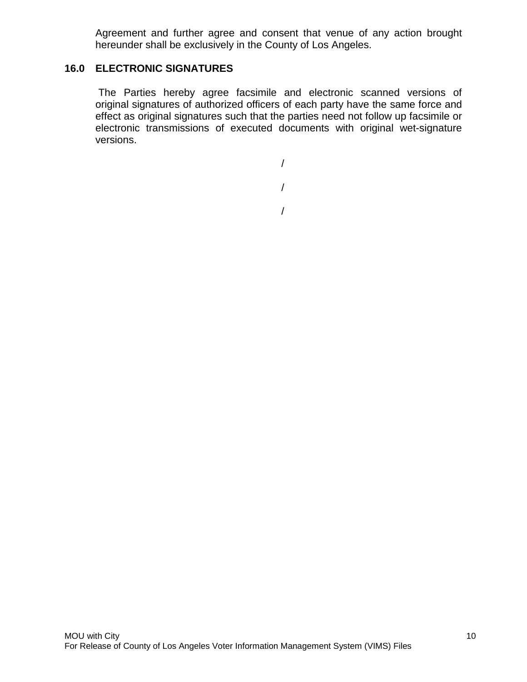Agreement and further agree and consent that venue of any action brought hereunder shall be exclusively in the County of Los Angeles.

### **16.0 ELECTRONIC SIGNATURES**

The Parties hereby agree facsimile and electronic scanned versions of original signatures of authorized officers of each party have the same force and effect as original signatures such that the parties need not follow up facsimile or electronic transmissions of executed documents with original wet-signature versions.

> / /

/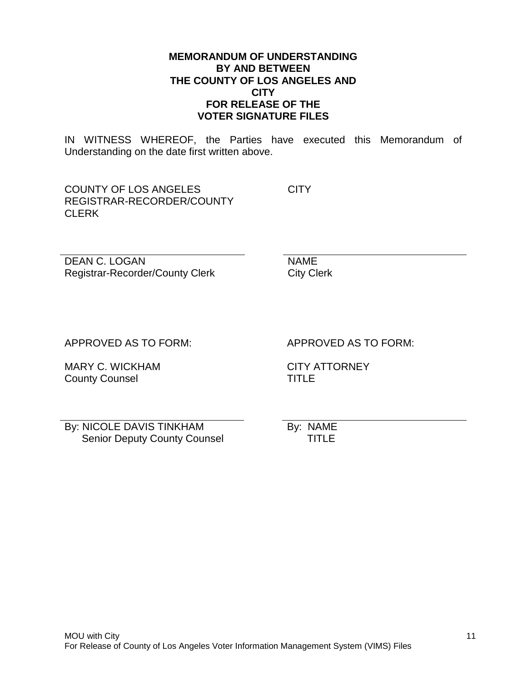#### **MEMORANDUM OF UNDERSTANDING BY AND BETWEEN THE COUNTY OF LOS ANGELES AND CITY FOR RELEASE OF THE VOTER SIGNATURE FILES**

IN WITNESS WHEREOF, the Parties have executed this Memorandum of Understanding on the date first written above.

COUNTY OF LOS ANGELES REGISTRAR-RECORDER/COUNTY CLERK

**CITY** 

DEAN C. LOGAN Registrar-Recorder/County Clerk NAME City Clerk

APPROVED AS TO FORM:

MARY C. WICKHAM County Counsel

APPROVED AS TO FORM:

CITY ATTORNEY TITLE

By: NICOLE DAVIS TINKHAM Senior Deputy County Counsel By: NAME TITLE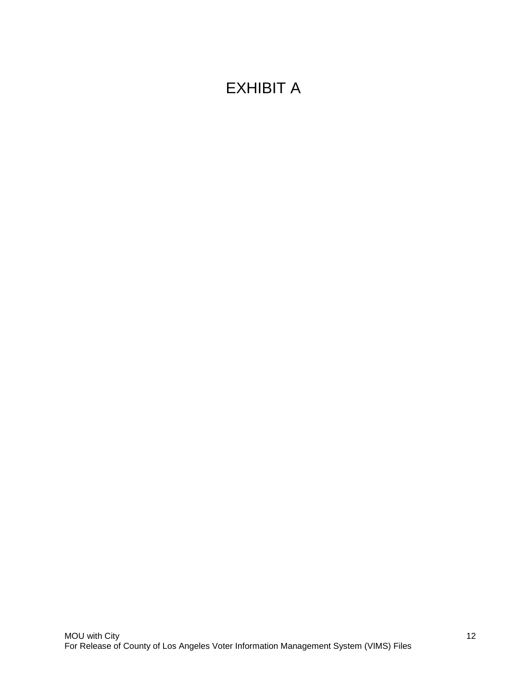# EXHIBIT A